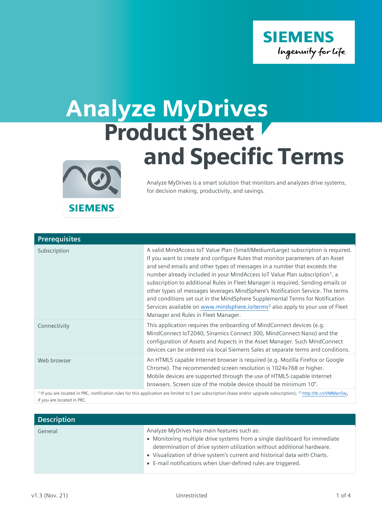

## Analyze MyDrives Product Sheet and Specific Terms



Analyze MyDrives is a smart solution that monitors and analyzes drive systems, for decision making, productivity, and savings.

| <b>Prerequisites</b> |                                                                                                                                                                                                                                                                                                                                                                                                                                                                                                                                                                                                                                                                                                                                     |
|----------------------|-------------------------------------------------------------------------------------------------------------------------------------------------------------------------------------------------------------------------------------------------------------------------------------------------------------------------------------------------------------------------------------------------------------------------------------------------------------------------------------------------------------------------------------------------------------------------------------------------------------------------------------------------------------------------------------------------------------------------------------|
| Subscription         | A valid MindAccess IoT Value Plan (Small/Medium/Large) subscription is required.<br>If you want to create and configure Rules that monitor parameters of an Asset<br>and send emails and other types of messages in a number that exceeds the<br>number already included in your MindAccess IoT Value Plan subscription <sup>1</sup> , a<br>subscription to additional Rules in Fleet Manager is required. Sending emails or<br>other types of messages leverages MindSphere's Notification Service. The terms<br>and conditions set out in the MindSphere Supplemental Terms for Notification<br>Services available on www.mindsphere.io/terms <sup>2</sup> also apply to your use of Fleet<br>Manager and Rules in Fleet Manager. |
| Connectivity         | This application requires the onboarding of MindConnect devices (e.g.<br>MindConnect IoT2040, Sinamics Connect 300, MindConnect Nano) and the<br>configuration of Assets and Aspects in the Asset Manager. Such MindConnect<br>devices can be ordered via local Siemens Sales at separate terms and conditions.                                                                                                                                                                                                                                                                                                                                                                                                                     |
| Web browser          | An HTML5 capable Internet browser is required (e.g. Mozilla Firefox or Google<br>Chrome). The recommended screen resolution is 1024x768 or higher.<br>Mobile devices are supported through the use of HTML5 capable Internet<br>browsers. Screen size of the mobile device should be minimum 10".                                                                                                                                                                                                                                                                                                                                                                                                                                   |

<sup>1)</sup> If you are located in PRC, notification rules for this application are limited to 5 per subscription (base and/or upgrade subscription); <sup>2)</sup> <http://tb.cn/VMMan5w>, if you are located in PRC.

| <b>Description</b> |                                                                                                                                                                                                                                                                                                                                                   |
|--------------------|---------------------------------------------------------------------------------------------------------------------------------------------------------------------------------------------------------------------------------------------------------------------------------------------------------------------------------------------------|
| General            | Analyze MyDrives has main features such as:<br>• Monitoring multiple drive systems from a single dashboard for immediate<br>determination of drive system utilization without additional hardware.<br>• Visualization of drive system's current and historical data with Charts.<br>• E-mail notifications when User-defined rules are triggered. |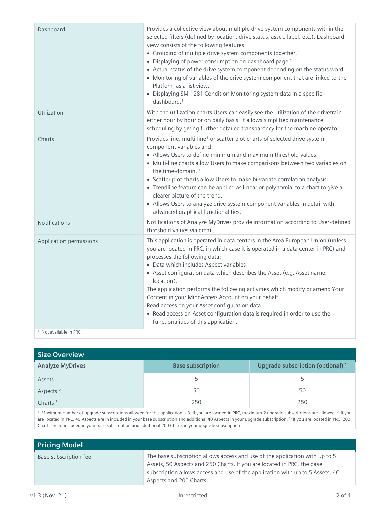| Dashboard                           | Provides a collective view about multiple drive system components within the<br>selected filters (defined by location, drive status, asset, label, etc.). Dashboard<br>view consists of the following features:<br>• Grouping of multiple drive system components together. <sup>1</sup><br>• Displaying of power consumption on dashboard page. <sup>1</sup><br>• Actual status of the drive system component depending on the status word.<br>• Monitoring of variables of the drive system component that are linked to the<br>Platform as a list view.<br>• Displaying SM 1281 Condition Monitoring system data in a specific<br>dashboard. <sup>1</sup> |
|-------------------------------------|--------------------------------------------------------------------------------------------------------------------------------------------------------------------------------------------------------------------------------------------------------------------------------------------------------------------------------------------------------------------------------------------------------------------------------------------------------------------------------------------------------------------------------------------------------------------------------------------------------------------------------------------------------------|
| Utilization <sup>1</sup>            | With the utilization charts Users can easily see the utilization of the drivetrain<br>either hour by hour or on daily basis. It allows simplified maintenance<br>scheduling by giving further detailed transparency for the machine operator.                                                                                                                                                                                                                                                                                                                                                                                                                |
| Charts                              | Provides line, multi-line <sup>1</sup> or scatter plot charts of selected drive system<br>component variables and:<br>• Allows Users to define minimum and maximum threshold values.<br>• Multi-line charts allow Users to make comparisons between two variables on<br>the time-domain. $1$<br>• Scatter plot charts allow Users to make bi-variate correlation analysis.<br>• Trendline feature can be applied as linear or polynomial to a chart to give a<br>clearer picture of the trend.<br>• Allows Users to analyze drive system component variables in detail with<br>advanced graphical functionalities.                                           |
| Notifications                       | Notifications of Analyze MyDrives provide information according to User-defined<br>threshold values via email.                                                                                                                                                                                                                                                                                                                                                                                                                                                                                                                                               |
| Application permissions             | This application is operated in data centers in the Area European Union (unless<br>you are located in PRC, in which case it is operated in a data center in PRC) and<br>processes the following data:<br>• Data which includes Aspect variables.<br>• Asset configuration data which describes the Asset (e.g. Asset name,<br>location).<br>The application performs the following activities which modify or amend Your<br>Content in your MindAccess Account on your behalf:<br>Read access on your Asset configuration data:<br>• Read access on Asset configuration data is required in order to use the<br>functionalities of this application.         |
| <sup>1)</sup> Not available in PRC. |                                                                                                                                                                                                                                                                                                                                                                                                                                                                                                                                                                                                                                                              |

| <b>Size Overview</b>    |                          |                                              |
|-------------------------|--------------------------|----------------------------------------------|
| <b>Analyze MyDrives</b> | <b>Base subscription</b> | Upgrade subscription (optional) <sup>1</sup> |
| Assets                  |                          |                                              |
| Aspects <sup>2</sup>    | 50                       | 50                                           |
| Charts $3$              | 250                      | 250                                          |
|                         |                          |                                              |

 $1)$  Maximum number of upgrade subscriptions allowed for this application is 3. If you are located in PRC, maximum 2 upgrade subscriptions are allowed.<sup>2)</sup> If you are located in PRC, 40 Aspects are in included in your base subscription and additional 40 Aspects in your upgrade subscription. <sup>3)</sup> If you are located in PRC, 200 Charts are in included in your base subscription and additional 200 Charts in your upgrade subscription.

| <b>Pricing Model</b>  |                                                                                                                                                                                                                                                                   |
|-----------------------|-------------------------------------------------------------------------------------------------------------------------------------------------------------------------------------------------------------------------------------------------------------------|
| Base subscription fee | The base subscription allows access and use of the application with up to 5<br>Assets, 50 Aspects and 250 Charts. If you are located in PRC, the base<br>subscription allows access and use of the application with up to 5 Assets, 40<br>Aspects and 200 Charts. |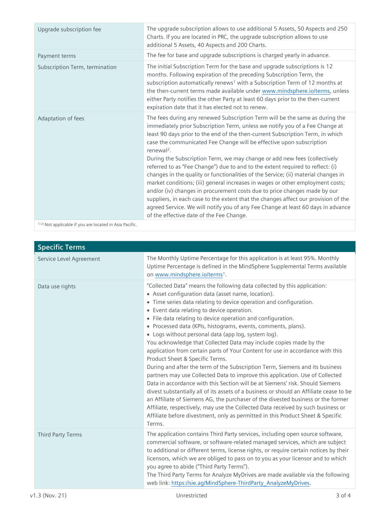| Upgrade subscription fee                                 | The upgrade subscription allows to use additional 5 Assets, 50 Aspects and 250<br>Charts. If you are located in PRC, the upgrade subscription allows to use<br>additional 5 Assets, 40 Aspects and 200 Charts.                                                                                                                                                                                                                                                                                                                                                                                                                                                                                                                                                                                                                                             |
|----------------------------------------------------------|------------------------------------------------------------------------------------------------------------------------------------------------------------------------------------------------------------------------------------------------------------------------------------------------------------------------------------------------------------------------------------------------------------------------------------------------------------------------------------------------------------------------------------------------------------------------------------------------------------------------------------------------------------------------------------------------------------------------------------------------------------------------------------------------------------------------------------------------------------|
| Payment terms                                            | The fee for base and upgrade subscriptions is charged yearly in advance.                                                                                                                                                                                                                                                                                                                                                                                                                                                                                                                                                                                                                                                                                                                                                                                   |
| Subscription Term, termination                           | The initial Subscription Term for the base and upgrade subscriptions is 12<br>months. Following expiration of the preceding Subscription Term, the<br>subscription automatically renews <sup>1</sup> with a Subscription Term of 12 months at<br>the then-current terms made available under www.mindsphere.io/terms, unless<br>either Party notifies the other Party at least 60 days prior to the then-current<br>expiration date that it has elected not to renew.                                                                                                                                                                                                                                                                                                                                                                                      |
| Adaptation of fees                                       | The fees during any renewed Subscription Term will be the same as during the<br>immediately prior Subscription Term, unless we notify you of a Fee Change at<br>least 90 days prior to the end of the then-current Subscription Term, in which<br>case the communicated Fee Change will be effective upon subscription<br>renewal <sup>2</sup> .<br>During the Subscription Term, we may change or add new fees (collectively<br>referred to as "Fee Change") due to and to the extent required to reflect: (i)<br>changes in the quality or functionalities of the Service; (ii) material changes in<br>market conditions; (iii) general increases in wages or other employment costs;<br>and/or (iv) changes in procurement costs due to price changes made by our<br>suppliers, in each case to the extent that the changes affect our provision of the |
|                                                          | agreed Service. We will notify you of any Fee Change at least 60 days in advance<br>of the effective date of the Fee Change.                                                                                                                                                                                                                                                                                                                                                                                                                                                                                                                                                                                                                                                                                                                               |
| 1) 2) Not applicable if you are located in Asia Pacific. |                                                                                                                                                                                                                                                                                                                                                                                                                                                                                                                                                                                                                                                                                                                                                                                                                                                            |

| <b>Specific Terms</b>    |                                                                                                                                                                                                                                                                                                                                                                                                                                                                                                                                                                                                                                                                                                                                                                                                                                                                                                                                                                                                                                                                                                                                                                                                                                                        |
|--------------------------|--------------------------------------------------------------------------------------------------------------------------------------------------------------------------------------------------------------------------------------------------------------------------------------------------------------------------------------------------------------------------------------------------------------------------------------------------------------------------------------------------------------------------------------------------------------------------------------------------------------------------------------------------------------------------------------------------------------------------------------------------------------------------------------------------------------------------------------------------------------------------------------------------------------------------------------------------------------------------------------------------------------------------------------------------------------------------------------------------------------------------------------------------------------------------------------------------------------------------------------------------------|
| Service Level Agreement  | The Monthly Uptime Percentage for this application is at least 95%. Monthly<br>Uptime Percentage is defined in the MindSphere Supplemental Terms available<br>on www.mindsphere.io/terms <sup>1</sup> .                                                                                                                                                                                                                                                                                                                                                                                                                                                                                                                                                                                                                                                                                                                                                                                                                                                                                                                                                                                                                                                |
| Data use rights          | "Collected Data" means the following data collected by this application:<br>• Asset configuration data (asset name, location).<br>• Time series data relating to device operation and configuration.<br>• Event data relating to device operation.<br>• File data relating to device operation and configuration.<br>• Processed data (KPIs, histograms, events, comments, plans).<br>• Logs without personal data (app log, system log).<br>You acknowledge that Collected Data may include copies made by the<br>application from certain parts of Your Content for use in accordance with this<br>Product Sheet & Specific Terms.<br>During and after the term of the Subscription Term, Siemens and its business<br>partners may use Collected Data to improve this application. Use of Collected<br>Data in accordance with this Section will be at Siemens' risk. Should Siemens<br>divest substantially all of its assets of a business or should an Affiliate cease to be<br>an Affiliate of Siemens AG, the purchaser of the divested business or the former<br>Affiliate, respectively, may use the Collected Data received by such business or<br>Affiliate before divestment, only as permitted in this Product Sheet & Specific<br>Terms. |
| <b>Third Party Terms</b> | The application contains Third Party services, including open source software,<br>commercial software, or software-related managed services, which are subject<br>to additional or different terms, license rights, or require certain notices by their<br>licensors, which we are obliged to pass on to you as your licensor and to which<br>you agree to abide ("Third Party Terms").<br>The Third Party Terms for Analyze MyDrives are made available via the following<br>web link: https://sie.ag/MindSphere-ThirdParty AnalyzeMyDrives.                                                                                                                                                                                                                                                                                                                                                                                                                                                                                                                                                                                                                                                                                                          |